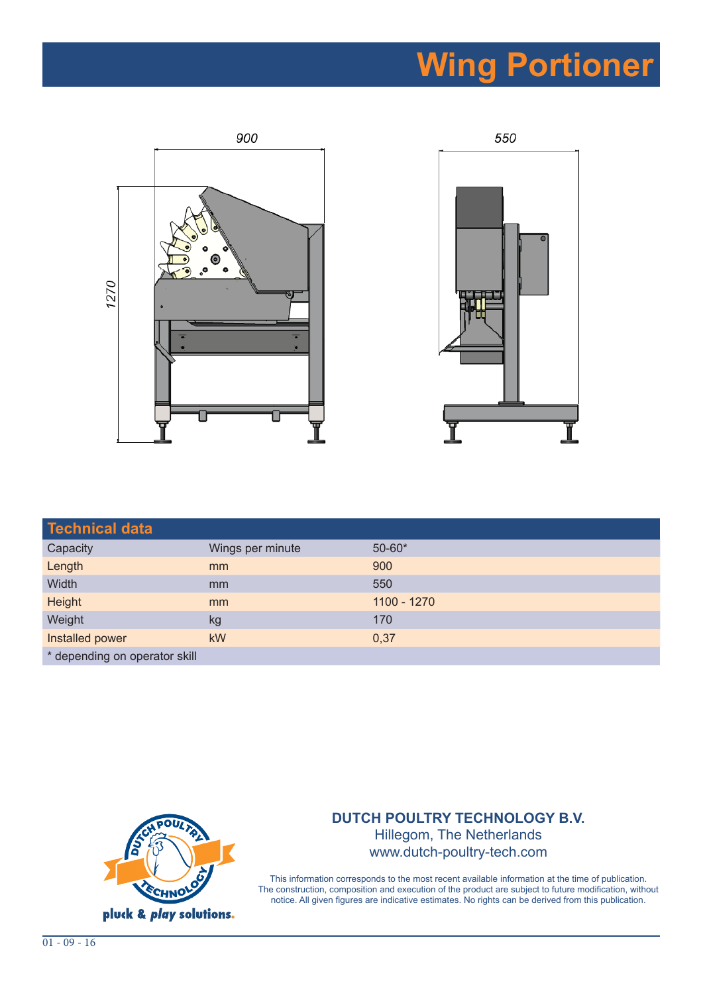## **Wing Portioner**





| <b>Technical data</b>         |                  |             |
|-------------------------------|------------------|-------------|
| Capacity                      | Wings per minute | $50 - 60*$  |
| Length                        | mm               | 900         |
| Width                         | mm               | 550         |
| Height                        | mm               | 1100 - 1270 |
| Weight                        | kg               | 170         |
| Installed power               | <b>kW</b>        | 0,37        |
| * depending on operator skill |                  |             |



## **DUTCH POULTRY TECHNOLOGY B.V.**  Hillegom, The Netherlands www.dutch-poultry-tech.com

This information corresponds to the most recent available information at the time of publication. The construction, composition and execution of the product are subject to future modification, without notice. All given figures are indicative estimates. No rights can be derived from this publication.